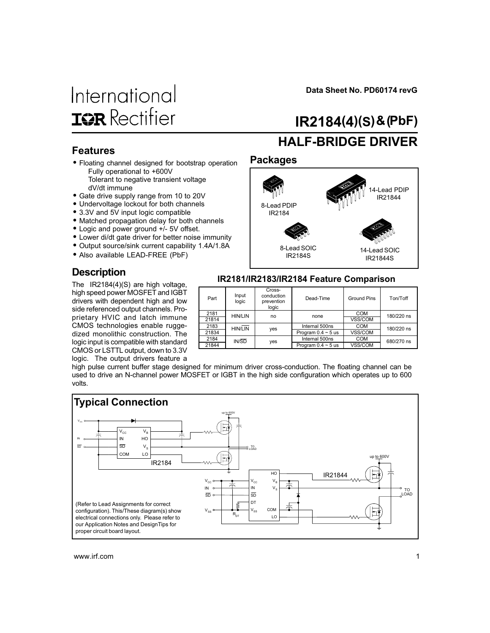# International **ISR** Rectifier

Data Sheet No. PD60174 revG

# IR2184(4)(S) & (PbF)

#### Features

- Floating channel designed for bootstrap operation Fully operational to +600V Tolerant to negative transient voltage dV/dt immune
- Gate drive supply range from 10 to 20V
- Undervoltage lockout for both channels
- 3.3V and 5V input logic compatible
- Matched propagation delay for both channels
- Logic and power ground +/- 5V offset.
- Lower di/dt gate driver for better noise immunity
- Output source/sink current capability 1.4A/1.8A
- Also available LEAD-FREE (PbF)

#### **Description**

The IR2184(4)(S) are high voltage, high speed power MOSFET and IGBT drivers with dependent high and low side referenced output channels. Proprietary HVIC and latch immune CMOS technologies enable ruggedized monolithic construction. The logic input is compatible with standard CMOS or LSTTL output, down to 3.3V logic. The output drivers feature a

# HALF-BRIDGE DRIVER

#### Packages



#### IR2181/IR2183/IR2184 Feature Comparison

| Part  | Input<br>logic | Cross-<br>conduction<br>prevention<br>logic | Dead-Time               | <b>Ground Pins</b> | Ton/Toff   |  |
|-------|----------------|---------------------------------------------|-------------------------|--------------------|------------|--|
| 2181  | <b>HIN/LIN</b> | no                                          | none                    | <b>COM</b>         | 180/220 ns |  |
| 21814 |                |                                             |                         | VSS/COM            |            |  |
| 2183  | <b>HIN/LIN</b> | yes                                         | Internal 500ns          | <b>COM</b>         | 180/220 ns |  |
| 21834 |                |                                             | Program $0.4 \sim 5$ us | VSS/COM            |            |  |
| 2184  | IN/SD          |                                             | Internal 500ns          | <b>COM</b>         | 680/270 ns |  |
| 21844 |                | yes                                         | Program $0.4 \sim 5$ us | VSS/COM            |            |  |

high pulse current buffer stage designed for minimum driver cross-conduction. The floating channel can be used to drive an N-channel power MOSFET or IGBT in the high side configuration which operates up to 600 volts.

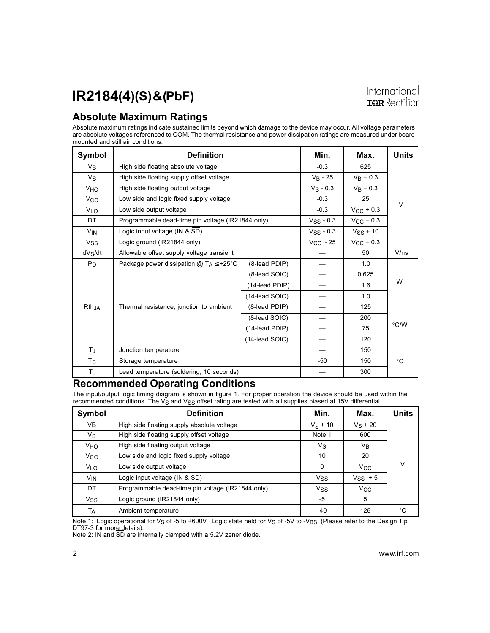#### Absolute Maximum Ratings

Absolute maximum ratings indicate sustained limits beyond which damage to the device may occur. All voltage parameters are absolute voltages referenced to COM. The thermal resistance and power dissipation ratings are measured under board mounted and still air conditions.

| Symbol                | <b>Definition</b>                                 | Min.           | Max.           | <b>Units</b>          |      |
|-----------------------|---------------------------------------------------|----------------|----------------|-----------------------|------|
| V <sub>B</sub>        | High side floating absolute voltage               | $-0.3$         | 625            |                       |      |
| Vs                    | High side floating supply offset voltage          | $V_B - 25$     | $V_{B}$ + 0.3  |                       |      |
| <b>V<sub>HO</sub></b> | High side floating output voltage                 |                | $V_S - 0.3$    | $V_B + 0.3$           |      |
| $V_{\rm CC}$          | Low side and logic fixed supply voltage           |                | $-0.3$         | 25                    |      |
| <b>V<sub>LO</sub></b> | Low side output voltage                           |                |                | $V_{CC}$ + 0.3        | V    |
| DT                    | Programmable dead-time pin voltage (IR21844 only) |                | $V_{SS}$ - 0.3 | $V_{\text{CC}}$ + 0.3 |      |
| V <sub>IN</sub>       | Logic input voltage (IN & SD)                     |                | $VSS - 0.3$    | $VSS + 10$            |      |
| <b>V<sub>SS</sub></b> | Logic ground (IR21844 only)                       |                | $V_{CC}$ - 25  | $V_{\rm CC}$ + 0.3    |      |
| dVs/dt                | Allowable offset supply voltage transient         |                |                | 50                    | V/ns |
| $P_D$                 | Package power dissipation $@T_A \leq +25°C$       | (8-lead PDIP)  |                | 1.0                   |      |
|                       |                                                   | (8-lead SOIC)  |                | 0.625                 |      |
|                       |                                                   | (14-lead PDIP) |                | 1.6                   | W    |
|                       |                                                   | (14-lead SOIC) |                | 1.0                   |      |
| Rth <sub>JA</sub>     | Thermal resistance, junction to ambient           | (8-lead PDIP)  |                | 125                   |      |
|                       |                                                   | (8-lead SOIC)  |                | 200                   |      |
|                       |                                                   | (14-lead PDIP) |                | 75                    | °C/W |
|                       |                                                   | (14-lead SOIC) |                | 120                   |      |
| $T_{\rm J}$           | Junction temperature                              |                |                | 150                   |      |
| Τs                    | Storage temperature                               |                | -50            | 150                   | °C   |
| TL                    | Lead temperature (soldering, 10 seconds)          |                |                | 300                   |      |

#### Recommended Operating Conditions

The input/output logic timing diagram is shown in figure 1. For proper operation the device should be used within the recommended conditions. The V<sub>S</sub> and V<sub>SS</sub> offset rating are tested with all supplies biased at 15V differential.

| Symbol                | <b>Definition</b>                                 | Min.                  | Max.         | <b>Units</b> |
|-----------------------|---------------------------------------------------|-----------------------|--------------|--------------|
| VB                    | High side floating supply absolute voltage        | $V_S + 10$            | $V_S + 20$   |              |
| Vs                    | High side floating supply offset voltage          | Note 1                | 600          |              |
| VHO                   | High side floating output voltage                 | Vs                    | VB           |              |
| $V_{\rm CC}$          | Low side and logic fixed supply voltage           | 10                    | 20           |              |
| VLO                   | Low side output voltage                           | $\mathbf{0}$          | $V_{\rm CC}$ | V            |
| V <sub>IN</sub>       | Logic input voltage (IN & SD)                     | Vss                   | $V_{SS}$ + 5 |              |
| DT                    | Programmable dead-time pin voltage (IR21844 only) | <b>V<sub>SS</sub></b> | $V_{\rm CC}$ |              |
| <b>V<sub>SS</sub></b> | Logic ground (IR21844 only)                       | -5                    | 5            |              |
| Тд                    | Ambient temperature                               | -40                   | 125          | °C           |

Note 1: Logic operational for V<sub>S</sub> of -5 to +600V. Logic state held for V<sub>S</sub> of -5V to -V<sub>BS</sub>. (Please refer to the Design Tip DT97-3 for more details).

Note 2: IN and SD are internally clamped with a 5.2V zener diode.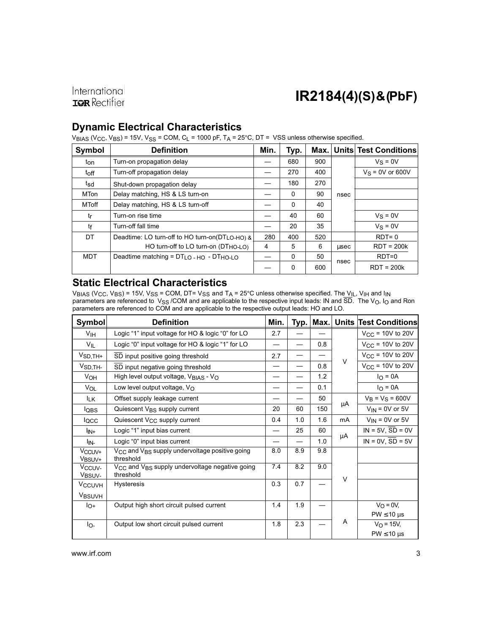International **IQR** Rectifier

### IR2184(4)(S) & (PbF)

#### Dynamic Electrical Characteristics

 $V_{\text{BIAS}}$  (V $_{\text{CC}}$ , V $_{\text{BS}}$ ) = 15V, V $_{\text{SS}}$  = COM, C<sub>L</sub> = 1000 pF, T<sub>A</sub> = 25°C, DT =  $\text{VSS}}$  unless otherwise specified.

| Symbol      | <b>Definition</b>                               | Min. | Typ.         | Max. |      | <b>Units Test Conditions</b> |
|-------------|-------------------------------------------------|------|--------------|------|------|------------------------------|
| ton         | Turn-on propagation delay                       |      | 680          | 900  |      | $V_S = 0V$                   |
| toff        | Turn-off propagation delay                      |      | 270          | 400  |      | $V_S = 0V$ or 600V           |
| tsd         | Shut-down propagation delay                     |      | 180          | 270  |      |                              |
| <b>MTon</b> | Delay matching, HS & LS turn-on                 |      | $\mathbf{0}$ | 90   | nsec |                              |
| MToff       | Delay matching, HS & LS turn-off                |      | $\mathbf{0}$ | 40   |      |                              |
| tr          | Turn-on rise time                               |      | 40           | 60   |      | $V_S = 0V$                   |
| tf          | Turn-off fall time                              |      | 20           | 35   |      | $Vs = 0V$                    |
| DT          | Deadtime: LO turn-off to HO turn-on(DTLO-HO) &  | 280  | 400          | 520  |      | $RDT=0$                      |
|             | HO turn-off to LO turn-on (DT <sub>HO-LO)</sub> | 4    | 5            | 6    | usec | $RDT = 200k$                 |
| <b>MDT</b>  | Deadtime matching = $DTLO$ - HO - $DTHO$ -LO    |      | $\Omega$     | 50   |      | $RDT=0$                      |
|             |                                                 |      | $\Omega$     | 600  | nsec | $RDT = 200k$                 |

### Static Electrical Characteristics

 $\rm{V_{BIAS}}$  (V $\rm{_{CC,}}$  V $\rm{_{BS}}$ ) = 15V, V $\rm{_{SS}}$  = COM, DT= V $\rm{_{SS}}$  and T $\rm{_{A}}$  = 25°C unless otherwise specified. The  $\rm{V_{lL,}}$  V $\rm{_{lH}}$  and I $\rm{_{N}}$ parameters are referenced to  $\rm\,V_{SS}$  /COM and are applicable to the respective input leads: IN and SD. The V<sub>O</sub>, I<sub>O</sub> and Ron parameters are referenced to COM and are applicable to the respective output leads: HO and LO.

| <b>Symbol</b>                            | <b>Definition</b>                                                                   | Min. |     | Typ.   Max. |        | <b>Units Test Conditions</b> |
|------------------------------------------|-------------------------------------------------------------------------------------|------|-----|-------------|--------|------------------------------|
| V <sub>IH</sub>                          | Logic "1" input voltage for HO & logic "0" for LO                                   | 2.7  |     |             |        | $V_{\text{CC}}$ = 10V to 20V |
| VIL                                      | Logic "0" input voltage for HO & logic "1" for LO                                   |      |     | 0.8         |        | $V_{CC}$ = 10V to 20V        |
| $V_{SD,TH+}$                             | SD input positive going threshold                                                   |      |     |             | $\vee$ | $V_{\text{CC}}$ = 10V to 20V |
| V <sub>SD,TH-</sub>                      | SD input negative going threshold                                                   |      |     | 0.8         |        | $V_{CC}$ = 10V to 20V        |
| V <sub>OH</sub>                          | High level output voltage, $V_{\text{BIAS}}$ - $V_{\text{O}}$                       |      |     | 1.2         |        | $I_{\Omega} = 0A$            |
| VOL                                      | Low level output voltage, $V_{\Omega}$                                              |      |     | 0.1         |        | $I_{\Omega} = 0A$            |
| IΓK                                      | Offset supply leakage current                                                       |      |     | 50          |        | $V_B = V_S = 600V$           |
| <b>l</b> QBS                             | Quiescent V <sub>BS</sub> supply current                                            | 20   | 60  | 150         | μA     | $V_{IN}$ = 0V or 5V          |
| locc                                     | Quiescent V <sub>CC</sub> supply current                                            | 0.4  | 1.0 | 1.6         | mA     | $V_{IN}$ = 0V or 5V          |
| l <sub>IN+</sub>                         | Logic "1" input bias current                                                        |      | 25  | 60          |        | $IN = 5V$ , $SD = 0V$        |
| l <sub>IN-</sub>                         | Logic "0" input bias current                                                        |      |     | 1.0         | μA     | $IN = 0V$ , $SD = 5V$        |
| V <sub>CCUV+</sub><br>VBSUV+             | V <sub>CC</sub> and V <sub>BS</sub> supply undervoltage positive going<br>threshold | 8.0  | 8.9 | 9.8         |        |                              |
| V <sub>CCUV-</sub><br>V <sub>BSUV-</sub> | $V_{CC}$ and $V_{BS}$ supply undervoltage negative going<br>threshold               | 7.4  | 8.2 | 9.0         | $\vee$ |                              |
| <b>V<sub>CCUVH</sub></b>                 | <b>Hysteresis</b>                                                                   | 0.3  | 0.7 |             |        |                              |
| V <sub>BSUVH</sub>                       |                                                                                     |      |     |             |        |                              |
| $I_{O^+}$                                | Output high short circuit pulsed current                                            | 1.4  | 1.9 |             |        | $V_O = 0V,$                  |
|                                          |                                                                                     |      |     |             | A      | $PW \leq 10 \mu s$           |
| lo-                                      | Output low short circuit pulsed current                                             | 1.8  | 2.3 |             |        | $V_O = 15V,$                 |
|                                          |                                                                                     |      |     |             |        | $PW \leq 10 \mu s$           |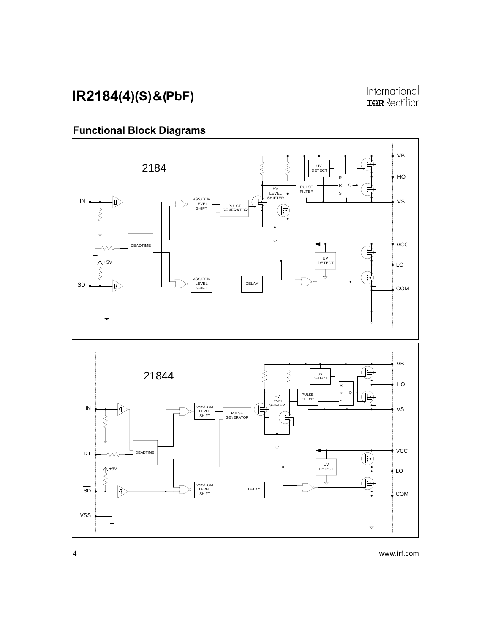### Functional Block Diagrams

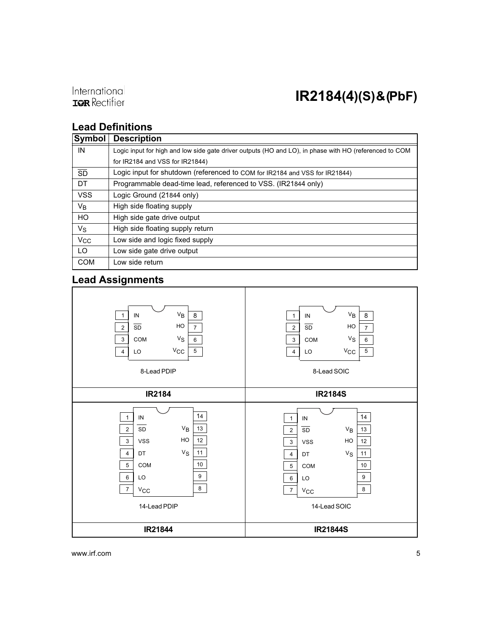

### Lead Definitions

| Symbol                | <b>Description</b>                                                                                     |
|-----------------------|--------------------------------------------------------------------------------------------------------|
| IN                    | Logic input for high and low side gate driver outputs (HO and LO), in phase with HO (referenced to COM |
|                       | for IR2184 and VSS for IR21844)                                                                        |
| SD                    | Logic input for shutdown (referenced to COM for IR2184 and VSS for IR21844)                            |
| DT                    | Programmable dead-time lead, referenced to VSS. (IR21844 only)                                         |
| <b>VSS</b>            | Logic Ground (21844 only)                                                                              |
| V <sub>B</sub>        | High side floating supply                                                                              |
| <b>HO</b>             | High side gate drive output                                                                            |
| $V_{\rm S}$           | High side floating supply return                                                                       |
| <b>V<sub>CC</sub></b> | Low side and logic fixed supply                                                                        |
| LO                    | Low side gate drive output                                                                             |
| <b>COM</b>            | Low side return                                                                                        |

### Lead Assignments



www.irf.com 5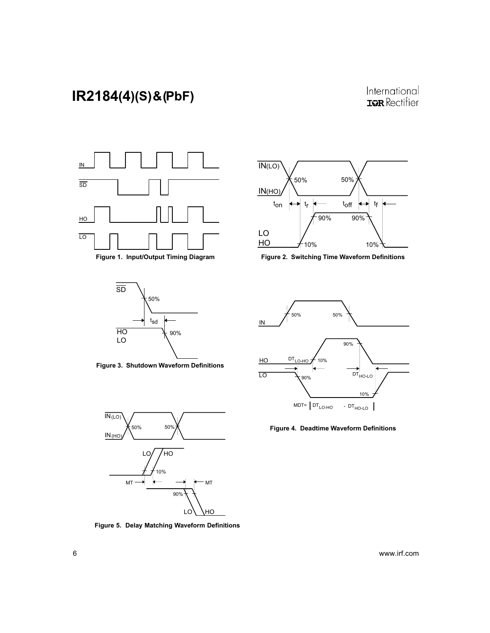





Figure 3. Shutdown Waveform Definitions



Figure 5. Delay Matching Waveform Definitions



Figure 1. Input/Output Timing Diagram Figure 2. Switching Time Waveform Definitions



Figure 4. Deadtime Waveform Definitions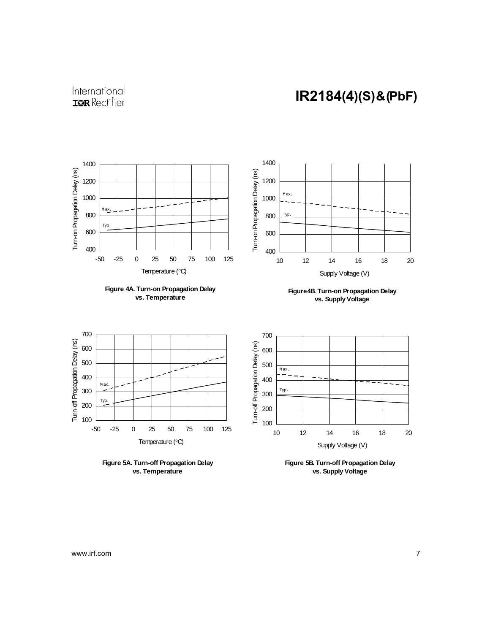### International **IQR** Rectifier



**vs. Temperature**

**vs. Supply Voltage**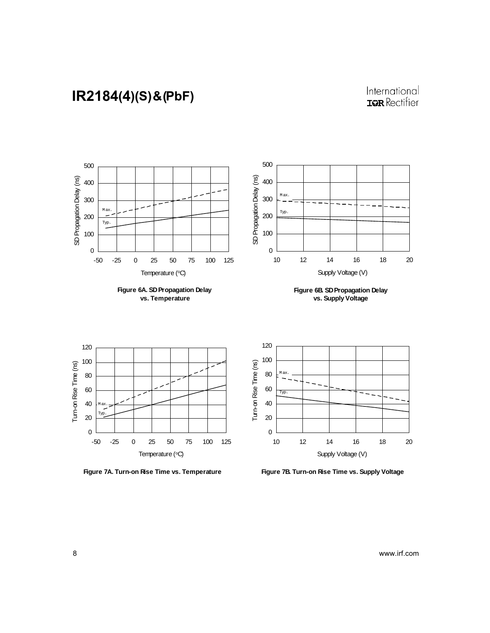### International **IQR** Rectifier



**Figure 7A. Turn-on Rise Time vs. Temperature**

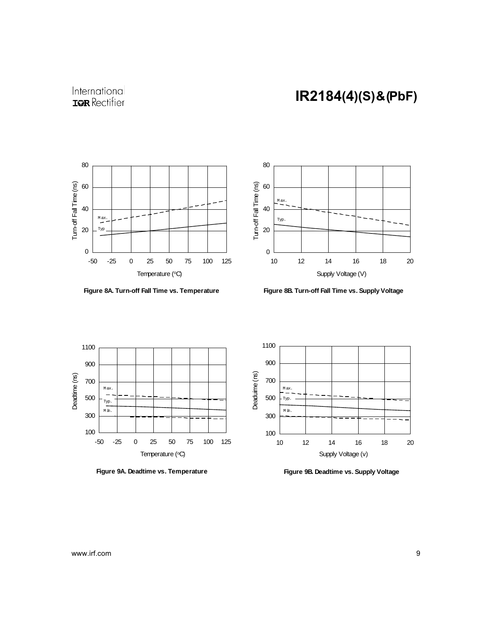### International **IQR** Rectifier



**Figure 8A. Turn-off Fall Time vs. Temperature**



**Figure 8B. Turn-off Fall Time vs. Supply Voltage**



**Figure 9A. Deadtime vs. Temperature**



**Figure 9B. Deadtime vs. Supply Voltage**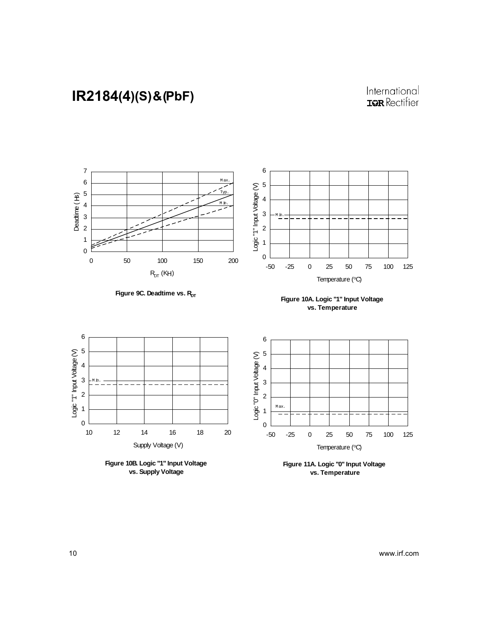### International **IQR** Rectifier







M in.

Logic "1" Input Voltage (V)



**Figure 10B. Logic "1" Input Voltage vs. Supply Voltage**

**vs. Temperature**



**Figure 11A. Logic "0" Input Voltage vs. Temperature**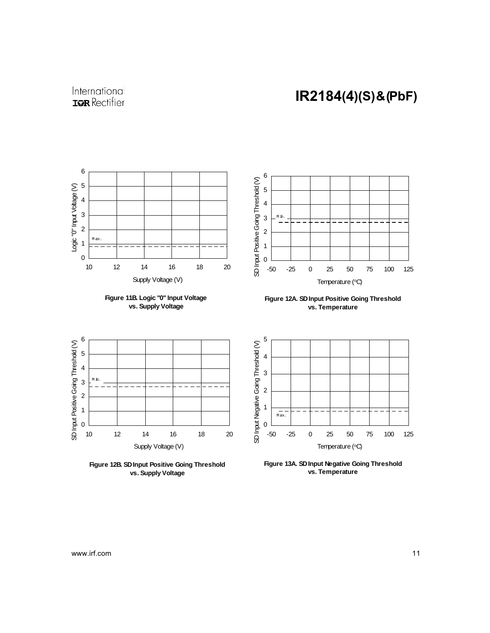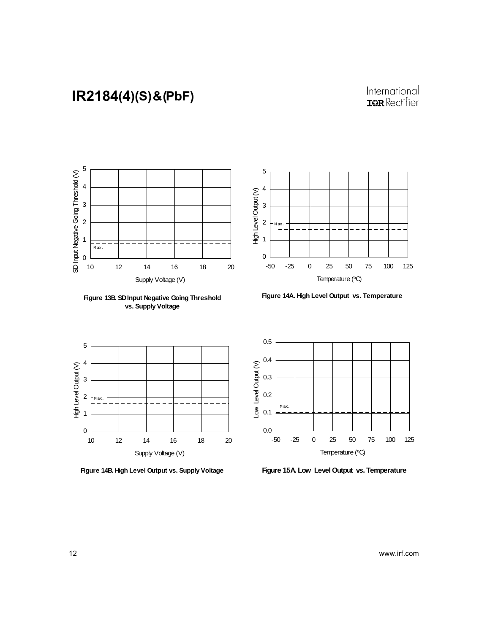### International **IQR** Rectifier



**vs. Supply Voltage**

**Figure 13B. SD Input Negative Going Threshold** 



**Figure 14A. High Level Output vs. Temperature**



**Figure 14B. High Level Output vs. Supply Voltage**



**Figure 15A. Low Level Output vs. Temperature**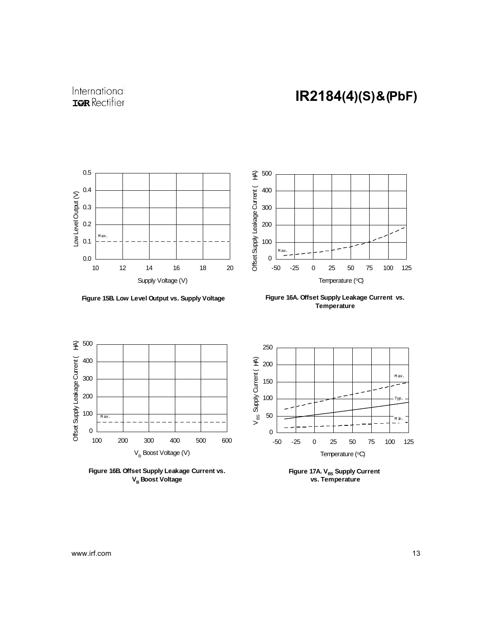

-50 -25 0 25 50 75 100 125 Temperature (°C)

0

M ax.

**Figure 15B. Low Level Output vs. Supply Voltage**

**Figure 16A. Offset Supply Leakage Current vs. Temperature**







**Figure 17A. V<sub>BS</sub> Supply Current vs. Temperature**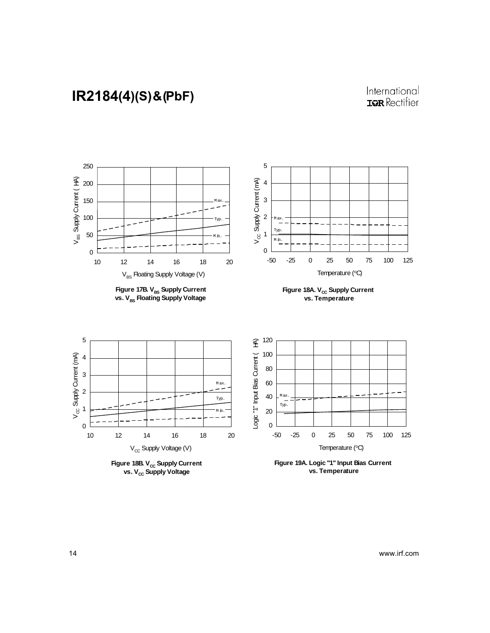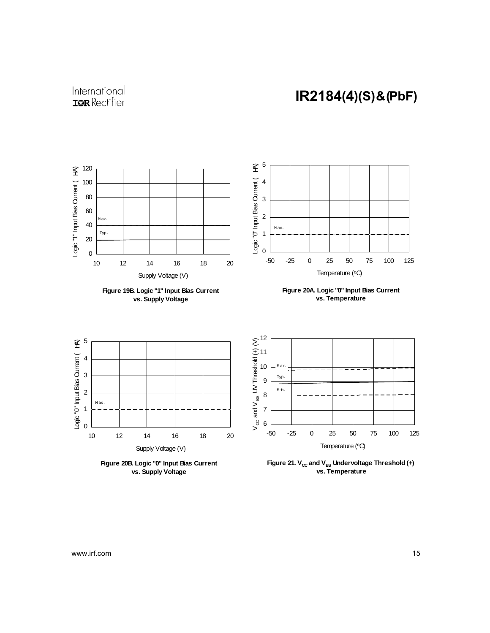

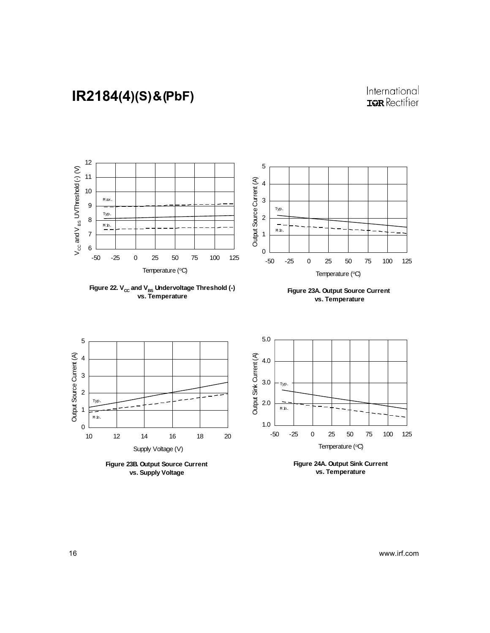

**Figure 23B. Output Source Current vs. Supply Voltage**

**Figure 24A. Output Sink Current vs. Temperature**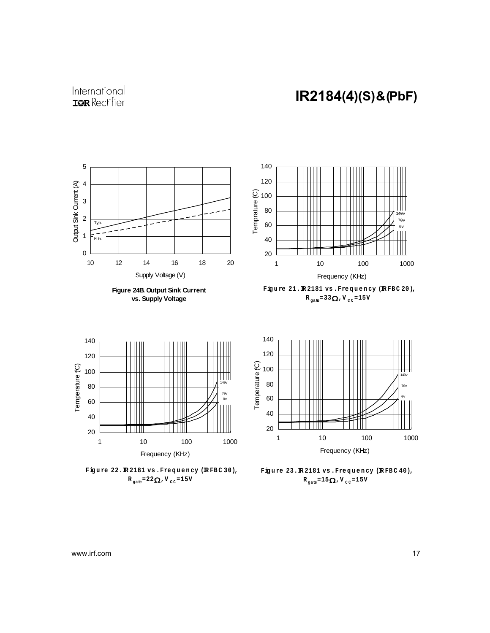

 $R_{\text{gate}} = 22 \Omega$ , V<sub>cc</sub>=15V

 $R_{\text{gate}} = 15 \Omega$ , V<sub>cc</sub>=15V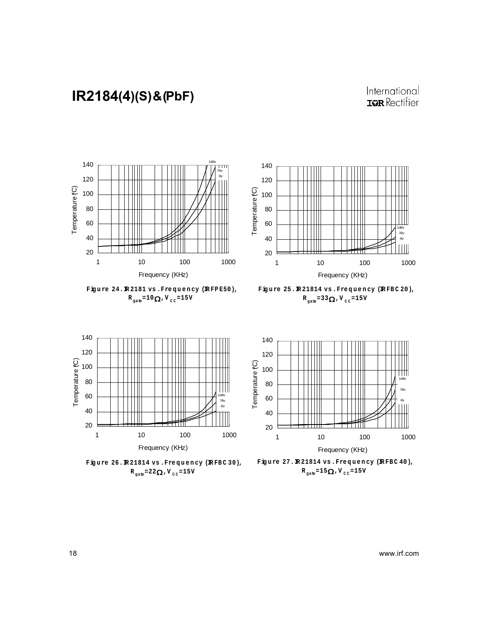









**Fig u re 26.IR 21814 vs .Fre q u e n cy (IR FB C 30),**  $R_{\text{gate}} = 22 \Omega$ , V<sub>cc</sub>=15V



Figure 27. R21814 vs. Frequency (RFBC 40),  $R_{\text{gate}} = 15 \Omega$ , V<sub>cc</sub>=15V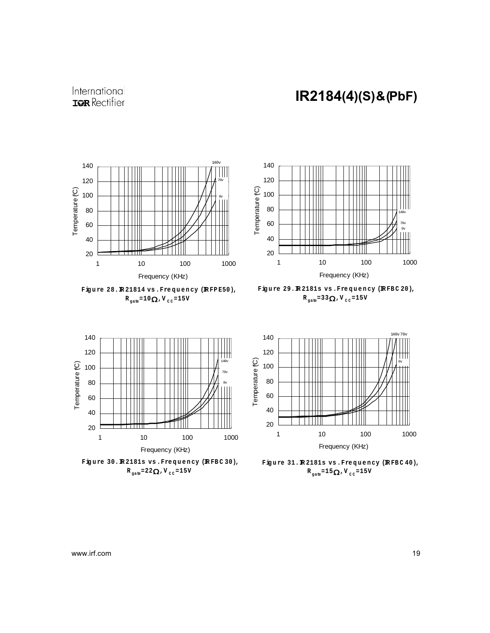











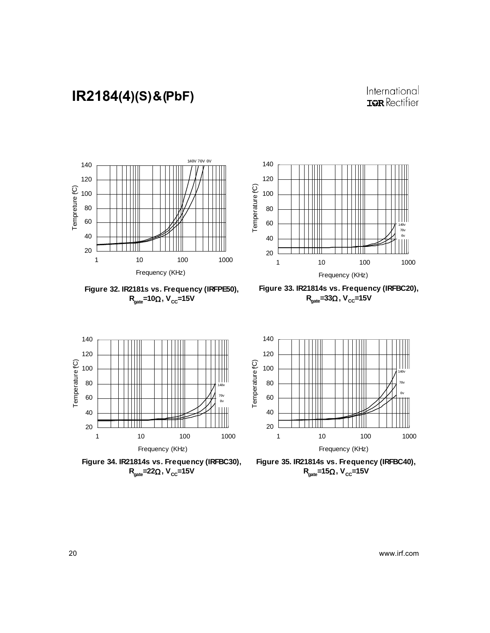

**Figure 32. IR2181s vs. Frequency (IRFPE50), R**<sub>aate</sub>=10Ω, V<sub>CC</sub>=15V



**Figure 33. IR21814s vs. Frequency (IRFBC20), R**<sub>aate</sub>=33Ω, V<sub>CC</sub>=15V



**Figure 34. IR21814s vs. Frequency (IRFBC30), R**<sub>cate</sub>=22Ω, V<sub>CC</sub>=15V



**Figure 35. IR21814s vs. Frequency (IRFBC40), R**<sub>cate</sub>=15Ω, V<sub>CC</sub>=15V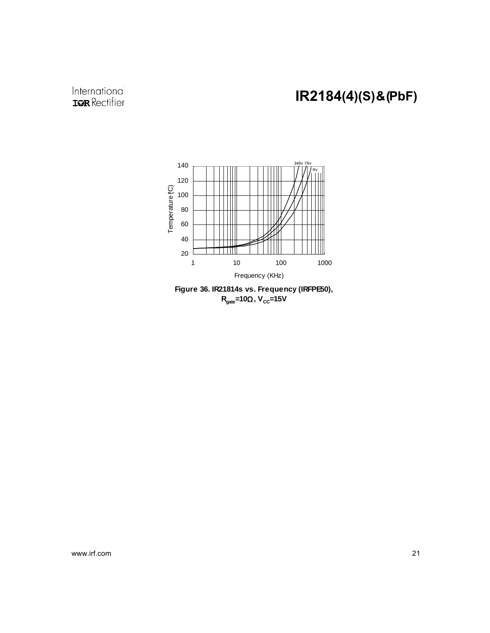### International **IOR** Rectifier

# IR2184(4)(S) & (PbF)





www.irf.com 21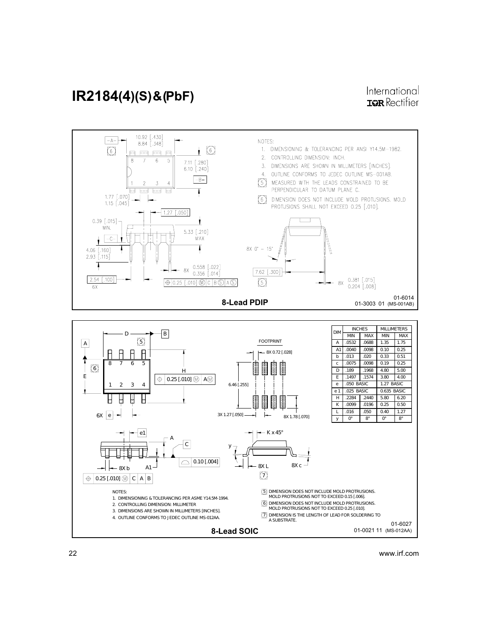

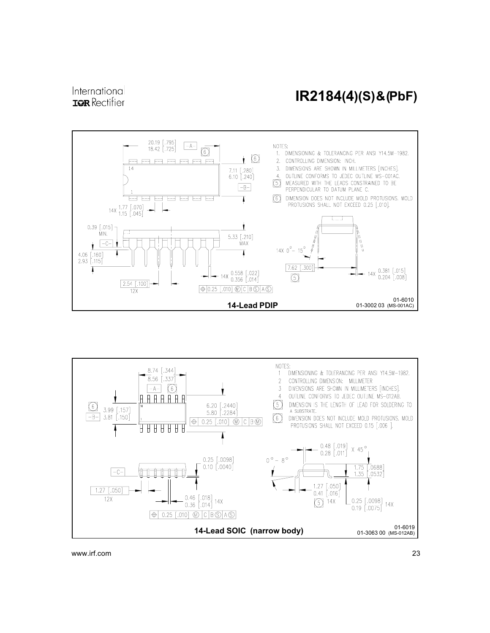#### International **IOR** Rectifier

### IR2184(4)(S) & (PbF)





www.irf.com 23